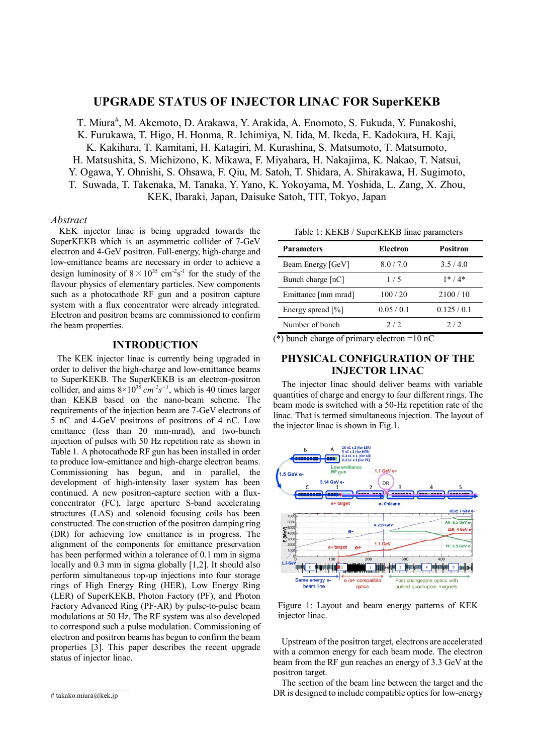# **UPGRADE STATUS OF INJECTOR LINAC FOR SuperKEKB**

T. Miura<sup>#</sup>, M. Akemoto, D. Arakawa, Y. Arakida, A. Enomoto, S. Fukuda, Y. Funakoshi, K. Furukawa, T. Higo, H. Honma, R. Ichimiya, N. Iida, M. Ikeda, E. Kadokura, H. Kaji, K. Kakihara, T. Kamitani, H. Katagiri, M. Kurashina, S. Matsumoto, T. Matsumoto, H. Matsushita, S. Michizono, K. Mikawa, F. Miyahara, H. Nakajima, K. Nakao, T. Natsui, Y. Ogawa, Y. Ohnishi, S. Ohsawa, F. Qiu, M. Satoh, T. Shidara, A. Shirakawa, H. Sugimoto, T. Suwada, T. Takenaka, M. Tanaka, Y. Yano, K. Yokoyama, M. Yoshida, L. Zang, X. Zhou, KEK, Ibaraki, Japan, Daisuke Satoh, TIT, Tokyo, Japan

#### *Abstract*

KEK injector linac is being upgraded towards the SuperKEKB which is an asymmetric collider of 7-GeV electron and 4-GeV positron. Full-energy, high-charge and low-emittance beams are necessary in order to achieve a design luminosity of  $8 \times 10^{35}$  cm<sup>-2</sup>s<sup>-1</sup> for the study of the flavour physics of elementary particles. New components such as a photocathode RF gun and a positron capture system with a flux concentrator were already integrated. Electron and positron beams are commissioned to confirm the beam properties.

## **INTRODUCTION**

The KEK injector linac is currently being upgraded in order to deliver the high-charge and low-emittance beams to SuperKEKB. The SuperKEKB is an electron-positron collider, and aims  $8\times10^{35}$  *cm<sup>-2</sup>s<sup>-1</sup>*, which is 40 times larger than KEKB based on the nano-beam scheme. The requirements of the injection beam are 7-GeV electrons of 5 nC and 4-GeV positrons of positrons of 4 nC. Low emittance (less than 20 mm-mrad), and two-bunch injection of pulses with 50 Hz repetition rate as shown in Table 1. A photocathode RF gun has been installed in order to produce low-emittance and high-charge electron beams. Commissioning has begun, and in parallel, the development of high-intensity laser system has been continued. A new positron-capture section with a fluxconcentrator (FC), large aperture S-band accelerating structures (LAS) and solenoid focusing coils has been constructed. The construction of the positron damping ring (DR) for achieving low emittance is in progress. The alignment of the components for emittance preservation has been performed within a tolerance of 0.1 mm in sigma locally and 0.3 mm in sigma globally [1,2]. It should also perform simultaneous top-up injections into four storage rings of High Energy Ring (HER), Low Energy Ring (LER) of SuperKEKB, Photon Factory (PF), and Photon Factory Advanced Ring (PF-AR) by pulse-to-pulse beam modulations at 50 Hz. The RF system was also developed to correspond such a pulse modulation. Commissioning of electron and positron beams has begun to confirm the beam properties [3]. This paper describes the recent upgrade status of injector linac.

Table 1: KEKB / SuperKEKB linac parameters

| <b>Parameters</b>   | Electron  | <b>Positron</b> |
|---------------------|-----------|-----------------|
| Beam Energy [GeV]   | 8.0 / 7.0 | 3.5/4.0         |
| Bunch charge [nC]   | 1/5       | $1* / 4*$       |
| Emittance [mm mrad] | 100 / 20  | 2100/10         |
| Energy spread [%]   | 0.05/0.1  | 0.125/0.1       |
| Number of bunch     | 2/2       | 2/2             |

 $(*)$  bunch charge of primary electron =10 nC

# **PHYSICAL CONFIGURATION OF THE INJECTOR LINAC**

The injector linac should deliver beams with variable quantities of charge and energy to four different rings. The beam mode is switched with a 50-Hz repetition rate of the linac. That is termed simultaneous injection. The layout of the injector linac is shown in Fig.1.



Figure 1: Layout and beam energy patterns of KEK injector linac.

Upstream of the positron target, electrons are accelerated with a common energy for each beam mode. The electron beam from the RF gun reaches an energy of 3.3 GeV at the positron target.

The section of the beam line between the target and the DR is designed to include compatible optics for low-energy

<sup>#</sup> takako.miura@kek.jp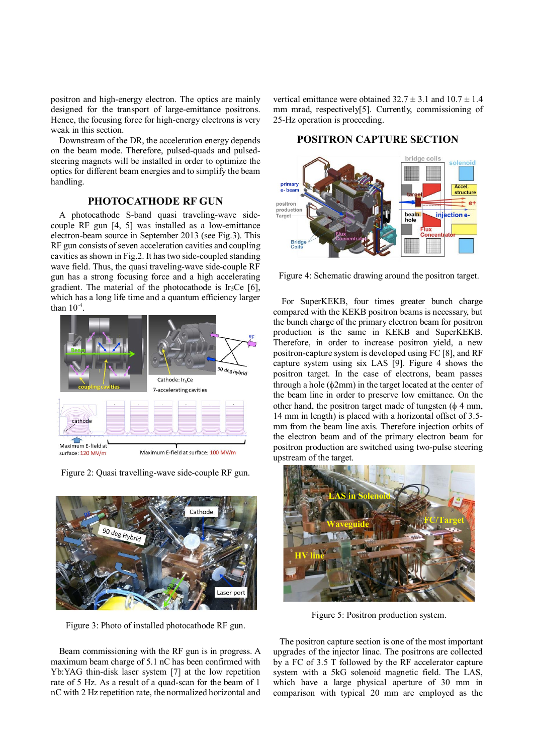positron and high-energy electron. The optics are mainly designed for the transport of large-emittance positrons. Hence, the focusing force for high-energy electrons is very weak in this section.

Downstream of the DR, the acceleration energy depends on the beam mode. Therefore, pulsed-quads and pulsedsteering magnets will be installed in order to optimize the optics for different beam energies and to simplify the beam handling.

# **PHOTOCATHODE RF GUN**

A photocathode S-band quasi traveling-wave sidecouple RF gun [4, 5] was installed as a low-emittance electron-beam source in September 2013 (see Fig.3). This RF gun consists of seven acceleration cavities and coupling cavities as shown in Fig.2. It has two side-coupled standing wave field. Thus, the quasi traveling-wave side-couple RF gun has a strong focusing force and a high accelerating gradient. The material of the photocathode is Ir<sub>5</sub>Ce [6], which has a long life time and a quantum efficiency larger than  $10<sup>-4</sup>$ .





Figure 2: Quasi travelling-wave side-couple RF gun.

Figure 3: Photo of installed photocathode RF gun.

Beam commissioning with the RF gun is in progress. A maximum beam charge of 5.1 nC has been confirmed with Yb:YAG thin-disk laser system [7] at the low repetition rate of 5 Hz. As a result of a quad-scan for the beam of 1 nC with 2 Hz repetition rate, the normalized horizontal and

vertical emittance were obtained  $32.7 \pm 3.1$  and  $10.7 \pm 1.4$ mm mrad, respectively[5]. Currently, commissioning of 25-Hz operation is proceeding.

# **POSITRON CAPTURE SECTION**



Figure 4: Schematic drawing around the positron target.

For SuperKEKB, four times greater bunch charge compared with the KEKB positron beams is necessary, but the bunch charge of the primary electron beam for positron production is the same in KEKB and SuperKEKB. Therefore, in order to increase positron yield, a new positron-capture system is developed using FC [8], and RF capture system using six LAS [9]. Figure 4 shows the positron target. In the case of electrons, beam passes through a hole  $(\phi 2mm)$  in the target located at the center of the beam line in order to preserve low emittance. On the other hand, the positron target made of tungsten  $(\phi \, 4 \, \text{mm})$ , 14 mm in length) is placed with a horizontal offset of 3.5 mm from the beam line axis. Therefore injection orbits of the electron beam and of the primary electron beam for positron production are switched using two-pulse steering upstream of the target.



Figure 5: Positron production system.

The positron capture section is one of the most important upgrades of the injector linac. The positrons are collected by a FC of 3.5 T followed by the RF accelerator capture system with a 5kG solenoid magnetic field. The LAS, which have a large physical aperture of 30 mm in comparison with typical 20 mm are employed as the